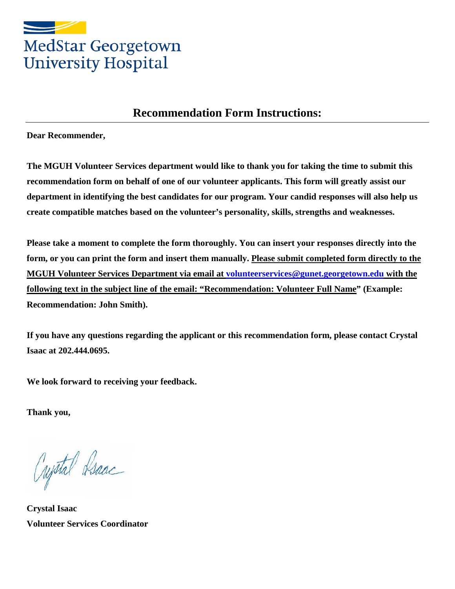

## **Recommendation Form Instructions:**

**Dear Recommender,** 

**The MGUH Volunteer Services department would like to thank you for taking the time to submit this recommendation form on behalf of one of our volunteer applicants. This form will greatly assist our department in identifying the best candidates for our program. Your candid responses will also help us create compatible matches based on the volunteer's personality, skills, strengths and weaknesses.** 

**Please take a moment to complete the form thoroughly. You can insert your responses directly into the form, or you can print the form and insert them manually. Please submit completed form directly to the MGUH Volunteer Services Department via email at [volunteerservices@gunet.georgetown.edu](mailto:volunteerservices@gunet.georgetown.edu) with the following text in the subject line of the email: "Recommendation: Volunteer Full Name" (Example: Recommendation: John Smith).** 

**If you have any questions regarding the applicant or this recommendation form, please contact Crystal Isaac at 202.444.0695.**

**We look forward to receiving your feedback.** 

**Thank you,**

Crystal Isaac

**Crystal Isaac Volunteer Services Coordinator**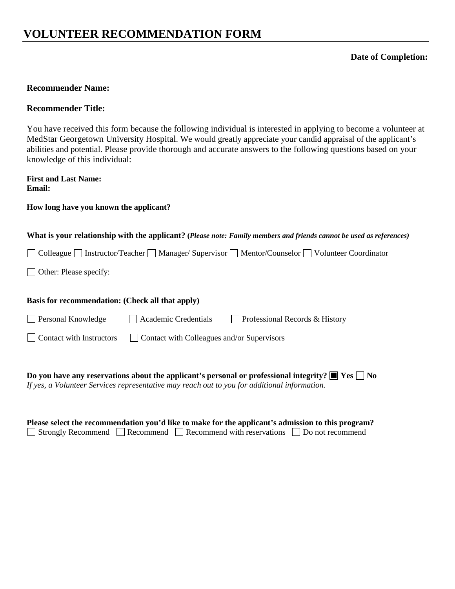# **VOLUNTEER RECOMMENDATION FORM**

### **Date of Completion:**

### **Recommender Name:**

### **Recommender Title:**

You have received this form because the following individual is interested in applying to become a volunteer at MedStar Georgetown University Hospital. We would greatly appreciate your candid appraisal of the applicant's abilities and potential. Please provide thorough and accurate answers to the following questions based on your knowledge of this individual:

**First and Last Name: Email:** 

### **How long have you known the applicant?**

#### **What is your relationship with the applicant? (***Please note: Family members and friends cannot be used as references)*

□ Colleague □ Instructor/Teacher □ Manager/ Supervisor □ Mentor/Counselor □ Volunteer Coordinator

□ Other: Please specify:

#### **Basis for recommendation: (Check all that apply)**

□ Personal Knowledge <br>
△ Academic Credentials □ Professional Records & History

Contact with Instructors Contact with Colleagues and/or Supervisors

**Do you have any reservations about the applicant's personal or professional integrity?**  $\blacksquare$  **Yes**  $\square$  **No** *If yes, a Volunteer Services representative may reach out to you for additional information.* 

| Please select the recommendation you'd like to make for the applicant's admission to this program? |  |                                                                                                       |  |  |  |  |  |  |
|----------------------------------------------------------------------------------------------------|--|-------------------------------------------------------------------------------------------------------|--|--|--|--|--|--|
|                                                                                                    |  | $\Box$ Strongly Recommend $\Box$ Recommend $\Box$ Recommend with reservations $\Box$ Do not recommend |  |  |  |  |  |  |